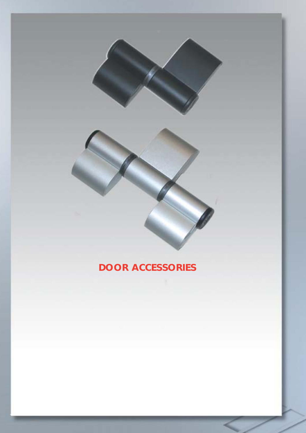## **DOOR ACCESSORIES**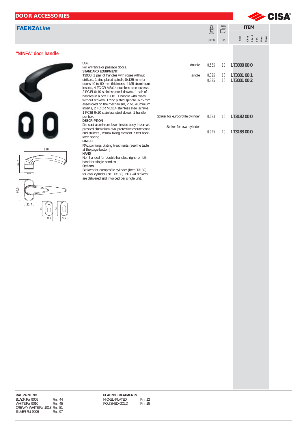| <b>DOOR ACCESSORIES</b>      |                                                                                                                                                                                                                                                                                                                                                                                                                                                                                                  |                                  |                |             |                                          | Section of CISA® |
|------------------------------|--------------------------------------------------------------------------------------------------------------------------------------------------------------------------------------------------------------------------------------------------------------------------------------------------------------------------------------------------------------------------------------------------------------------------------------------------------------------------------------------------|----------------------------------|----------------|-------------|------------------------------------------|------------------|
| <b>FAENZALine</b>            |                                                                                                                                                                                                                                                                                                                                                                                                                                                                                                  |                                  | $\mathbb{S}$   | $\bigoplus$ | <b>ITEM</b>                              |                  |
|                              |                                                                                                                                                                                                                                                                                                                                                                                                                                                                                                  |                                  | Unit W         | Pcs         | pe single single<br>Single single single |                  |
| "NINFA" door handle          |                                                                                                                                                                                                                                                                                                                                                                                                                                                                                                  |                                  |                |             |                                          |                  |
|                              | <b>USE</b><br>For entrance or passage doors.<br>STANDARD EQUIPMENT                                                                                                                                                                                                                                                                                                                                                                                                                               | double                           | 0.555          | 10          | 1 T3000 00 0                             |                  |
|                              | T3000: 1 pair of handles with roses without<br>strikers, 1 zinc plated spindle 8x135 mm for<br>doors 40 to 60 mm thickness, 4 M5 aluminium<br>inserts, 4 TC CR M5x14 stainless steel screws,<br>2 PC EI 6x10 stainless steel dowels. 1 pair of<br>handles in a box.T3001: 1 handle with roses<br>without strikers, 1 zinc plated spindle 8x75 mm<br>assembled on the mechanism, 2 M5 aluminium<br>inserts, 2 TC CR M5x14 stainless steel screws,<br>1 PC EI 6x10 stainless steel dowel. 1 handle | single                           | 0.325<br>0.325 | 10<br>10    | 1 T3001 00 1<br>1 T3001 00 2             |                  |
|                              | per box.<br><b>DESCRIPTION</b>                                                                                                                                                                                                                                                                                                                                                                                                                                                                   | Striker for europrofile cylinder | 0.033          | 10          | 1 T3182 00 0                             |                  |
|                              | Die-cast aluminium lever, inside body in zamak.<br>pressed aluminium oval protective escutcheons<br>and strikers, zamak fixing element. Steel back-<br>latch spring.<br><b>FINISH</b><br>RAL painting, plating treatments (see the table                                                                                                                                                                                                                                                         | Striker for oval cylinder        | 0.025          |             | 10 1 T3183 00 0                          |                  |
| 130<br>53,7                  | at the page bottom).<br>HAND<br>Non handed for double handles, right- or left-<br>hand for single handles<br>Options                                                                                                                                                                                                                                                                                                                                                                             |                                  |                |             |                                          |                  |
| 65,5<br>31.7<br>28.4<br>28.4 | Strikers for europrofile cylinder (item T3182),<br>for oval cylinder (art. T3183). N.B. All strikers<br>are delivered and invoiced per single unit.                                                                                                                                                                                                                                                                                                                                              |                                  |                |             |                                          |                  |
|                              |                                                                                                                                                                                                                                                                                                                                                                                                                                                                                                  |                                  |                |             |                                          |                  |
|                              |                                                                                                                                                                                                                                                                                                                                                                                                                                                                                                  |                                  |                |             |                                          |                  |
|                              |                                                                                                                                                                                                                                                                                                                                                                                                                                                                                                  |                                  |                |             |                                          |                  |
|                              |                                                                                                                                                                                                                                                                                                                                                                                                                                                                                                  |                                  |                |             |                                          |                  |
|                              |                                                                                                                                                                                                                                                                                                                                                                                                                                                                                                  |                                  |                |             |                                          |                  |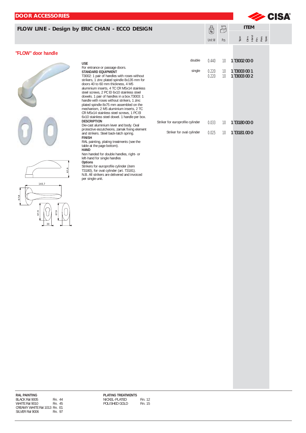| <b>DOOR ACCESSORIES</b>                       |                                                                                                                                         |                                  |                                      |                       |                                          | Section of CISA® |
|-----------------------------------------------|-----------------------------------------------------------------------------------------------------------------------------------------|----------------------------------|--------------------------------------|-----------------------|------------------------------------------|------------------|
| FLOW LINE - Design by ERIC CHAN - ECCO DESIGN |                                                                                                                                         |                                  |                                      |                       | <b>ITEM</b>                              |                  |
|                                               |                                                                                                                                         |                                  | $\bigotimes_{\mathsf{Kg}}$<br>Unit W | $\bigoplus$<br>Pcs    | pe single single<br>Single single single |                  |
| "FLOW" door handle                            |                                                                                                                                         |                                  |                                      |                       |                                          |                  |
|                                               | <b>USE</b>                                                                                                                              | double                           | 0.440                                |                       | 10 1 T3002 00 0                          |                  |
|                                               | For entrance or passage doors.<br>STANDARD EQUIPMENT<br>T3002: 1 pair of handles with roses without                                     | single                           | 0.220<br>0.220                       | 10<br>10 <sup>°</sup> | 1 T3003 00 1<br>1 T3003 00 2             |                  |
|                                               | strikers, 1 zinc plated spindle 8x135 mm for<br>doors 40 to 60 mm thickness, 4 M5                                                       |                                  |                                      |                       |                                          |                  |
|                                               | aluminium inserts, 4 TC CR M5x14 stainless<br>steel screws, 2 PC EI 6x10 stainless steel<br>dowels. 1 pair of handles in a box.T3003: 1 |                                  |                                      |                       |                                          |                  |
|                                               | handle with roses without strikers, 1 zinc<br>plated spindle 8x75 mm assembled on the<br>mechanism, 2 M5 aluminium inserts, 2 TC        |                                  |                                      |                       |                                          |                  |
|                                               | CR M5x14 stainless steel screws, 1 PC EI<br>6x10 stainless steel dowel. 1 handle per box.<br><b>DESCRIPTION</b>                         | Striker for europrofile cylinder |                                      |                       |                                          |                  |
|                                               | Die-cast aluminium lever and body. Oval<br>protective escutcheons, zamak fixing element                                                 | Striker for oval cylinder        | 0.033<br>0.025                       |                       | 10 1 T3180 00 0<br>10 1 T3181 00 0       |                  |
|                                               | and strikers. Steel back-latch spring.<br><b>FINISH</b><br>RAL painting, plating treatments (see the                                    |                                  |                                      |                       |                                          |                  |
|                                               | table at the page bottom).<br><b>HAND</b><br>Non handed for double handles, right- or                                                   |                                  |                                      |                       |                                          |                  |
|                                               | left-hand for single handles<br>Options                                                                                                 |                                  |                                      |                       |                                          |                  |
| 67,6                                          | Strikers for europrofile cylinder (item<br>T3180), for oval cylinder (art. T3181).<br>N.B. All strikers are delivered and invoiced      |                                  |                                      |                       |                                          |                  |
| 140,7                                         | per single unit.                                                                                                                        |                                  |                                      |                       |                                          |                  |
| 67, 8                                         |                                                                                                                                         |                                  |                                      |                       |                                          |                  |
|                                               |                                                                                                                                         |                                  |                                      |                       |                                          |                  |
| 67,9<br>67,9                                  |                                                                                                                                         |                                  |                                      |                       |                                          |                  |
| 30                                            |                                                                                                                                         |                                  |                                      |                       |                                          |                  |
|                                               |                                                                                                                                         |                                  |                                      |                       |                                          |                  |
|                                               |                                                                                                                                         |                                  |                                      |                       |                                          |                  |
|                                               |                                                                                                                                         |                                  |                                      |                       |                                          |                  |
|                                               |                                                                                                                                         |                                  |                                      |                       |                                          |                  |
|                                               |                                                                                                                                         |                                  |                                      |                       |                                          |                  |
|                                               |                                                                                                                                         |                                  |                                      |                       |                                          |                  |
|                                               |                                                                                                                                         |                                  |                                      |                       |                                          |                  |
|                                               |                                                                                                                                         |                                  |                                      |                       |                                          |                  |
|                                               |                                                                                                                                         |                                  |                                      |                       |                                          |                  |
|                                               |                                                                                                                                         |                                  |                                      |                       |                                          |                  |
|                                               |                                                                                                                                         |                                  |                                      |                       |                                          |                  |
|                                               |                                                                                                                                         |                                  |                                      |                       |                                          |                  |
|                                               |                                                                                                                                         |                                  |                                      |                       |                                          |                  |
|                                               |                                                                                                                                         |                                  |                                      |                       |                                          |                  |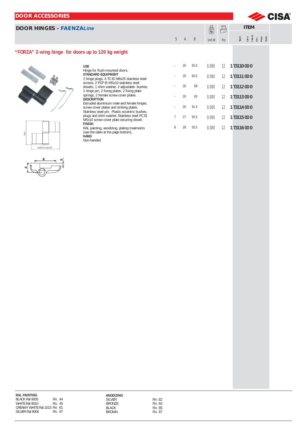| <b>DOOR ACCESSORIES</b>                            |                                                                                                                                         |              |              |      |        |             | CISA®                             |  |
|----------------------------------------------------|-----------------------------------------------------------------------------------------------------------------------------------------|--------------|--------------|------|--------|-------------|-----------------------------------|--|
| <b>DOOR HINGES - FAENZALine</b>                    |                                                                                                                                         |              |              |      | 8      | $\bigoplus$ | <b>ITEM</b>                       |  |
|                                                    |                                                                                                                                         | $\mathsf{S}$ | $\mathsf{A}$ | B    | Unit W | Pcs         | Type<br>Dim Hand<br>Hand<br>Ress. |  |
| "FORZA" 2-wing hinge for doors up to 120 kg weight |                                                                                                                                         |              |              |      |        |             |                                   |  |
|                                                    | <b>USE</b>                                                                                                                              |              | 20           | 55.5 | 0.080  | 12          | 1 T3110 00 0                      |  |
|                                                    | Hinge for flush-mounted doors.<br><b>STANDARD EQUIPMENT</b><br>2 hinge plugs, 4 TC EI M8x25 stainless steel                             |              | 20           | 60.5 | 0.080  | 12          | 1 T3111 00 0                      |  |
|                                                    | screws, 2 PCP EI M5x10 stainless steel<br>dowels, 1 shim washer, 2 adjustable bushes,<br>1 hinge pin, 2 fixing plates, 2 fixing plate   |              | 20           | 69   | 0.080  | 12          | 1 T3112 00 0                      |  |
|                                                    | springs, 2 female screw-cover plates.<br><b>DESCRIPTION</b>                                                                             |              | 20           | 83   | 0.080  | 12          | 1 T3113 00 0                      |  |
|                                                    | Extruded aluminium male and female hinges,<br>screw-cover plates and striking plates.<br>Stainless steel pin. Plastic eccentric bushes, |              | 20           | 91.5 | 0.080  | 12          | 1 T3114 00 0                      |  |
|                                                    | plugs and shim washer. Stainless steel PC EI<br>M5x10 screw-cover plate securing dowel.                                                 |              | 27           | 55.5 | 0.080  | 12          | 1 T3115 00 0                      |  |
| 93,5                                               | <b>FINISH</b><br>RAL painting, anodizing, plating treatments<br>(see the table at the page bottom).<br><b>HAND</b>                      | 8            | 28           | 55.5 | 0.080  | 12          | 1 T3116 00 0                      |  |



**B**

min85.5/max129

 $\mathbf{v}$ 

**A**

## **RAL PAINTING**  BLACK Ral 9005 Fin. 44 WHITE Ral 9010 Fin. 45 CREAMY WHITE Ral 1013 Fin. E1 SILVER Ral 9006 Fin. 97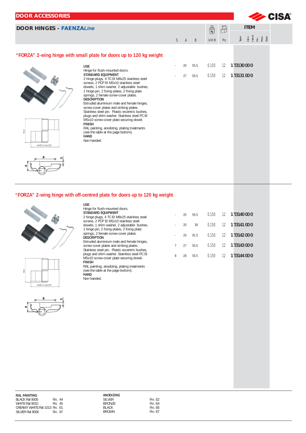| <b>DOOR ACCESSORIES</b>         |                                                                                                                                                                                                                                                                                                                                                                                                                                                                                                                                                                                                                                                              |              |              |              |                                          |                   |                                            | <b>CISA®</b> |
|---------------------------------|--------------------------------------------------------------------------------------------------------------------------------------------------------------------------------------------------------------------------------------------------------------------------------------------------------------------------------------------------------------------------------------------------------------------------------------------------------------------------------------------------------------------------------------------------------------------------------------------------------------------------------------------------------------|--------------|--------------|--------------|------------------------------------------|-------------------|--------------------------------------------|--------------|
| <b>DOOR HINGES - FAENZALine</b> |                                                                                                                                                                                                                                                                                                                                                                                                                                                                                                                                                                                                                                                              |              |              |              | $\begin{pmatrix} 8 \\ k_9 \end{pmatrix}$ | $\bigoplus$       | <b>ITEM</b>                                |              |
|                                 |                                                                                                                                                                                                                                                                                                                                                                                                                                                                                                                                                                                                                                                              | $\mathsf{S}$ | $\mathsf{A}$ | <sup>B</sup> | Unit W                                   | Pcs               | Type<br>Dim Hand<br>Hand<br>Pers.<br>Spec. |              |
|                                 | "FORZA" 2-wing hinge with small plate for doors up to 120 kg weight                                                                                                                                                                                                                                                                                                                                                                                                                                                                                                                                                                                          |              |              |              |                                          |                   |                                            |              |
|                                 | <b>USE</b><br>Hinge for flush-mounted doors.                                                                                                                                                                                                                                                                                                                                                                                                                                                                                                                                                                                                                 | ٠            | 20           | 55.5         | 0.150                                    | 12                | 1 T3130 00 0                               |              |
| 93.5<br>min85.5/max129          | <b>STANDARD EQUIPMENT</b><br>2 hinge plugs, 4 TC EI M8x25 stainless steel<br>screws, 2 PCP EI M5x10 stainless steel<br>dowels, 1 shim washer, 2 adjustable bushes,<br>1 hinge pin, 2 fixing plates, 2 fixing plate<br>springs, 2 female screw-cover plates.<br><b>DESCRIPTION</b><br>Extruded aluminium male and female hinges,<br>screw-cover plates and striking plates.<br>Stainless steel pin. Plastic eccentric bushes,<br>plugs and shim washer. Stainless steel PC EI<br>M5x10 screw-cover plate securing dowel.<br><b>FINISH</b><br>RAL painting, anodizing, plating treatments<br>(see the table at the page bottom).<br><b>HAND</b><br>Non-handed. |              | 27           | 55.5         | 0.150                                    | $12 \overline{ }$ | 1 T3131 00 0                               |              |
|                                 |                                                                                                                                                                                                                                                                                                                                                                                                                                                                                                                                                                                                                                                              |              |              |              |                                          |                   |                                            |              |

## **"FORZA" 2-wing hinge with off-centred plate for doors up to 120 kg weight**







| <b>USE</b>                                                                                                                              |   |    |      |       |    |              |
|-----------------------------------------------------------------------------------------------------------------------------------------|---|----|------|-------|----|--------------|
| Hinge for flush-mounted doors.<br><b>STANDARD EQUIPMENT</b><br>2 hinge plugs, 4 TC EI M8x25 stainless steel                             |   | 20 | 55.5 | 0.150 | 12 | 1 T3140 00 0 |
| screws. 2 PCP EI M5x10 stainless steel<br>dowels, 1 shim washer, 2 adjustable bushes,<br>1 hinge pin, 2 fixing plates, 2 fixing plate   |   | 20 | 39   | 0.150 | 12 | 1 T3141 00 0 |
| springs, 2 female screw-cover plates.<br><b>DESCRIPTION</b>                                                                             |   | 20 | 91.5 | 0.150 | 12 | 1 T3142 00 0 |
| Extruded aluminium male and female hinges,<br>screw-cover plates and striking plates.<br>Stainless steel pin. Plastic eccentric bushes, |   | 27 | 55.5 | 0.150 | 12 | 1 T3143 00 0 |
| plugs and shim washer. Stainless steel PC EI<br>M5x10 screw-cover plate securing dowel.<br><b>FINISH</b>                                | 8 | 28 | 55.5 | 0.150 | 12 | 1 T3144 00 0 |
| RAL painting, anodizing, plating treatments<br>(see the table at the page bottom).                                                      |   |    |      |       |    |              |
| HAND<br>Non-handed.                                                                                                                     |   |    |      |       |    |              |
|                                                                                                                                         |   |    |      |       |    |              |

| ANUDIZING |                     |
|-----------|---------------------|
| SII VFR   | Fin. F <sub>2</sub> |
| BRON7F    | Fin. F4             |
| BLACK     | Fin. F6             |
| BROWN     | Fin. F7             |
|           |                     |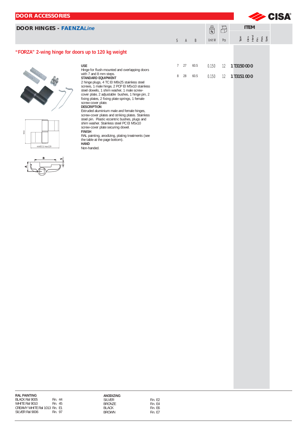| <b>DOOR ACCESSORIES</b>                            |                                                                                                                                                                                                                                                                                                                                                                                                                                                                                                                                                                                                                                  |              |              |              |            |             |                 |             |                                                 | <b>ESA</b> |
|----------------------------------------------------|----------------------------------------------------------------------------------------------------------------------------------------------------------------------------------------------------------------------------------------------------------------------------------------------------------------------------------------------------------------------------------------------------------------------------------------------------------------------------------------------------------------------------------------------------------------------------------------------------------------------------------|--------------|--------------|--------------|------------|-------------|-----------------|-------------|-------------------------------------------------|------------|
| <b>DOOR HINGES - FAENZALine</b>                    |                                                                                                                                                                                                                                                                                                                                                                                                                                                                                                                                                                                                                                  |              |              |              | $\bigcirc$ | $\bigoplus$ |                 | <b>ITEM</b> |                                                 |            |
|                                                    |                                                                                                                                                                                                                                                                                                                                                                                                                                                                                                                                                                                                                                  | $\mathsf{S}$ | $\mathsf{A}$ | $\, {\sf B}$ | Unit W     | Pcs         |                 |             | pe single single<br>Single single single single |            |
| "FORZA" 2-wing hinge for doors up to 120 kg weight |                                                                                                                                                                                                                                                                                                                                                                                                                                                                                                                                                                                                                                  |              |              |              |            |             |                 |             |                                                 |            |
|                                                    | <b>USE</b><br>Hinge for flush-mounted and overlapping doors<br>with 7 and 8 mm steps.                                                                                                                                                                                                                                                                                                                                                                                                                                                                                                                                            |              | 727          | 60.5         | 0.150      |             | 12 1 T3150 00 0 |             |                                                 |            |
| $93.5\,$                                           | STANDARD EQUIPMENT<br>2 hinge plugs, 4 TC EI M8x25 stainless steel<br>screws, 1 male hinge, 2 PCP EI M5x10 stainless<br>steel dowels, 1 shim washer, 1 male screw-<br>cover plate, 2 adjustable bushes, 1 hinge pin, 2<br>fixing plates, 2 fixing plate springs, 1 female<br>screw-cover plate.<br><b>DESCRIPTION</b><br>Extruded aluminium male and female hinges,<br>screw-cover plates and striking plates. Stainless<br>steel pin. Plastic eccentric bushes, plugs and<br>shim washer. Stainless steel PC EI M5x10<br>screw-cover plate securing dowel.<br><b>FINISH</b><br>RAL painting, anodizing, plating treatments (see | 8            | 28           | 60.5         | 0.150      |             | 12 1 T3151 00 0 |             |                                                 |            |
| min85.5/max129                                     | the table at the page bottom).<br>HAND<br>Non-handed.                                                                                                                                                                                                                                                                                                                                                                                                                                                                                                                                                                            |              |              |              |            |             |                 |             |                                                 |            |
|                                                    |                                                                                                                                                                                                                                                                                                                                                                                                                                                                                                                                                                                                                                  |              |              |              |            |             |                 |             |                                                 |            |
|                                                    |                                                                                                                                                                                                                                                                                                                                                                                                                                                                                                                                                                                                                                  |              |              |              |            |             |                 |             |                                                 |            |
|                                                    |                                                                                                                                                                                                                                                                                                                                                                                                                                                                                                                                                                                                                                  |              |              |              |            |             |                 |             |                                                 |            |
|                                                    |                                                                                                                                                                                                                                                                                                                                                                                                                                                                                                                                                                                                                                  |              |              |              |            |             |                 |             |                                                 |            |
|                                                    |                                                                                                                                                                                                                                                                                                                                                                                                                                                                                                                                                                                                                                  |              |              |              |            |             |                 |             |                                                 |            |
|                                                    |                                                                                                                                                                                                                                                                                                                                                                                                                                                                                                                                                                                                                                  |              |              |              |            |             |                 |             |                                                 |            |
|                                                    |                                                                                                                                                                                                                                                                                                                                                                                                                                                                                                                                                                                                                                  |              |              |              |            |             |                 |             |                                                 |            |
|                                                    |                                                                                                                                                                                                                                                                                                                                                                                                                                                                                                                                                                                                                                  |              |              |              |            |             |                 |             |                                                 |            |
|                                                    |                                                                                                                                                                                                                                                                                                                                                                                                                                                                                                                                                                                                                                  |              |              |              |            |             |                 |             |                                                 |            |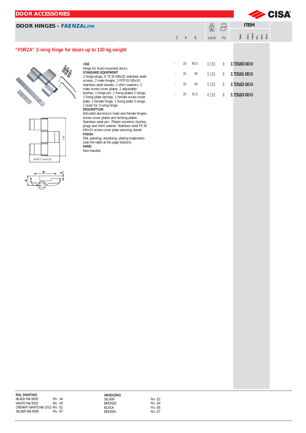| <b>DOOR ACCESSORIES</b>                            |                                                                                                                                                                                                                                                 |    |    |      |                   |             |                                            | <b>CISA®</b> |
|----------------------------------------------------|-------------------------------------------------------------------------------------------------------------------------------------------------------------------------------------------------------------------------------------------------|----|----|------|-------------------|-------------|--------------------------------------------|--------------|
| <b>DOOR HINGES - FAENZALine</b>                    |                                                                                                                                                                                                                                                 |    |    |      | $\bigotimes_{Kg}$ | $\bigoplus$ | <b>ITEM</b>                                |              |
|                                                    |                                                                                                                                                                                                                                                 | S. | A  | B    | Unit W            | Pcs         | Type<br>Dim Hand<br>Hand<br>Pers.<br>Spec. |              |
| "FORZA" 3-wing hinge for doors up to 130 kg weight |                                                                                                                                                                                                                                                 |    |    |      |                   |             |                                            |              |
|                                                    | <b>USE</b><br>Hinge for flush-mounted doors.                                                                                                                                                                                                    |    | 20 | 60.5 | 0.150             | 8           | 1 T3160 00 0                               |              |
|                                                    | <b>STANDARD EQUIPMENT</b><br>2 hinge plugs, 6 TC EI M8x25 stainless steel                                                                                                                                                                       |    | 20 | 69   | 0.150             | 8           | 1 T3161 00 0                               |              |
|                                                    | screws, 2 male hinges, 3 PCP EI M5x10<br>stainless steel dowels, 2 shim washers, 2<br>male screw-cover plates, 2 adjustable                                                                                                                     |    | 20 | 83   | 0.150             | 8           | 1 T3162 00 0                               |              |
|                                                    | bushes, 1 hinge pin, 2 fixing plates 2 wings,<br>2 fixing plate springs, 1 female screw-cover<br>plate, 1 female hinge, 1 fixing plate 3 wings,<br>1 bush for 3-wing hinge.<br><b>DESCRIPTION</b><br>Extruded aluminium male and female hinges, |    | 20 | 91.5 | 0.150             | 8           | 1 T3163 00 0                               |              |
|                                                    | screw-cover plates and striking plates.<br>Stainless steel pin. Plastic eccentric bushes,<br>plugs and shim washer. Stainless steel PC EI<br>M5x10 screw-cover plate securing dowel                                                             |    |    |      |                   |             |                                            |              |

M5x10 screw-cover plate securing dowel.

RAL painting, anodizing, plating treatments (see the table at the page bottom).

**FINISH**

**HAND**  Non-handed.

min90.5/max129

139

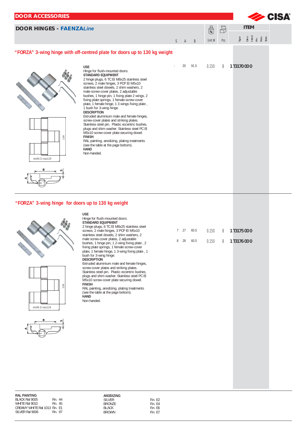

## **"FORZA" 3-wing hinge for doors up to 130 kg weight**







**USE** Hinge for flush-mounted doors. **STANDARD EQUIPMENT** 2 hinge plugs, 6 TC EI M8x25 stainless steel screws, 2 male hinges, 3 PCP EI M5x10 stainless steel dowels, 2 shim washers, 2 male screw-cover plates, 2 adjustable bushes, 1 hinge pin, 1 2-wing fixing plate , 2 fixing plate springs, 1 female screw-cover plate, 1 female hinge, 1 3-wing fixing plate , 1 bush for 3-wing hinge. **DESCRIPTION**

Extruded aluminium male and female hinges, screw-cover plates and striking plates. Stainless steel pin. Plastic eccentric bushes, plugs and shim washer. Stainless steel PC EI M5x10 screw-cover plate securing dowel. **FINISH**

RAL painting, anodizing, plating treatments (see the table at the page bottom). **HAND** 

Non-handed.

|  | 7 27 60.5 |  | $0.150 \qquad 8 \qquad 1$ T3175 00 0 |
|--|-----------|--|--------------------------------------|
|  | 8 28 60.5 |  | $0.150 \qquad 8 \qquad 1$ T3176 00 0 |

| <b>RAL PAINTING</b>           |          |  |
|-------------------------------|----------|--|
| <b>BLACK Ral 9005</b>         | Fin 44   |  |
| WHITF Ral 9010                | $Fin$ 45 |  |
| CREAMY WHITE Ral 1013 Fin. F1 |          |  |
| SILVER Ral 9006               | Fin 97   |  |
|                               |          |  |

| Fin. F <sub>2</sub><br>Fin F4<br>Fin F6 |
|-----------------------------------------|
| Fin F7                                  |
|                                         |

| Fin. F2 |  |
|---------|--|
| Fin. F4 |  |
| Fin. F6 |  |
| Fin. F7 |  |
|         |  |